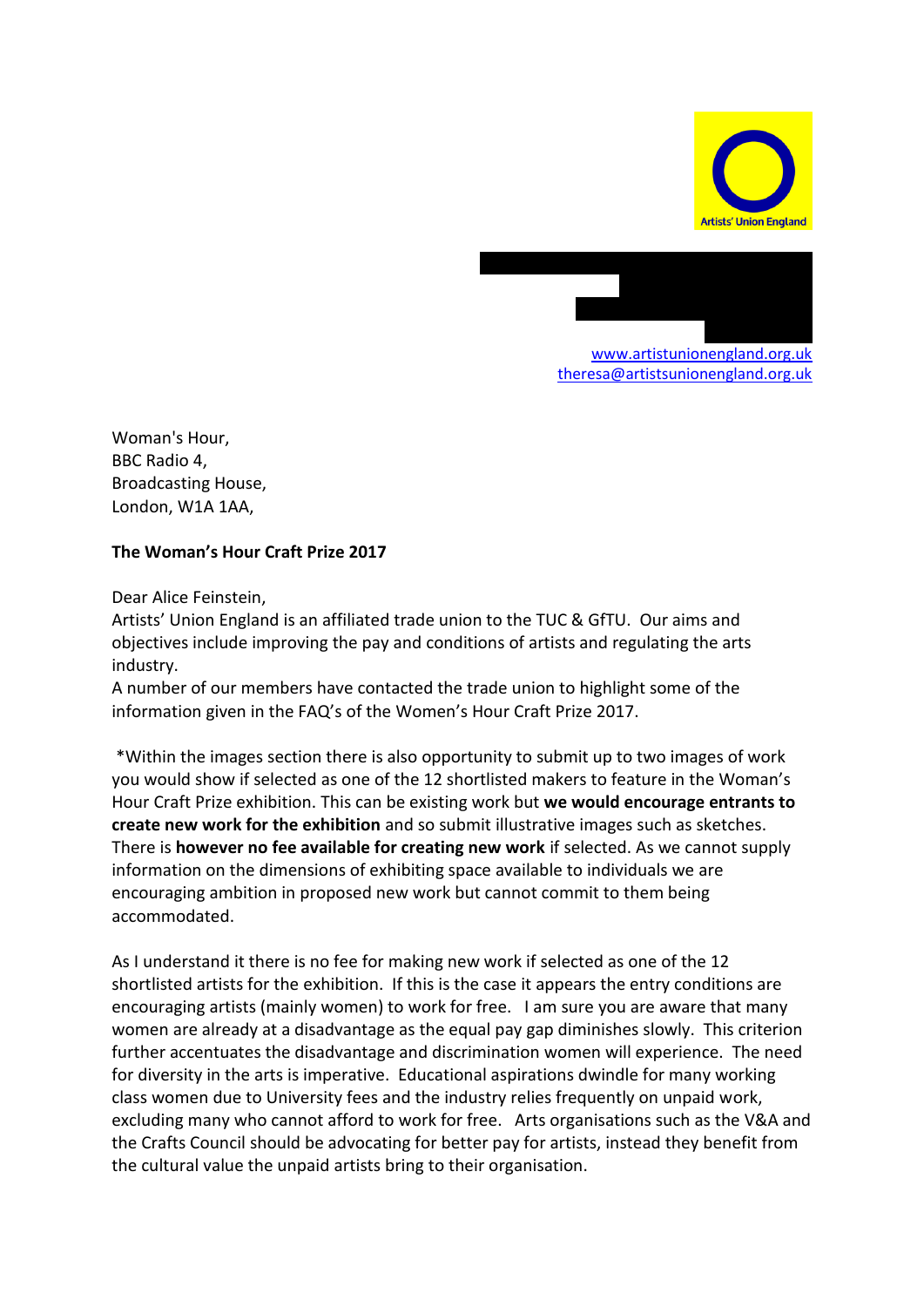

[www.artistunionengland.org.uk](http://www.artistunionengland.org.uk/) [theresa@artistsunionengland.org.uk](mailto:theresa@artistsunionengland.org.uk)

36 Lime Street, Ouseburn

Woman's Hour, BBC Radio 4, Broadcasting House, London, W1A 1AA,

## **The Woman's Hour Craft Prize 2017**

Dear Alice Feinstein,

Artists' Union England is an affiliated trade union to the TUC & GfTU. Our aims and objectives include improving the pay and conditions of artists and regulating the arts industry.

A number of our members have contacted the trade union to highlight some of the information given in the FAQ's of the Women's Hour Craft Prize 2017.

\*Within the images section there is also opportunity to submit up to two images of work you would show if selected as one of the 12 shortlisted makers to feature in the Woman's Hour Craft Prize exhibition. This can be existing work but **we would encourage entrants to create new work for the exhibition** and so submit illustrative images such as sketches. There is **however no fee available for creating new work** if selected. As we cannot supply information on the dimensions of exhibiting space available to individuals we are encouraging ambition in proposed new work but cannot commit to them being accommodated.

As I understand it there is no fee for making new work if selected as one of the 12 shortlisted artists for the exhibition. If this is the case it appears the entry conditions are encouraging artists (mainly women) to work for free. I am sure you are aware that many women are already at a disadvantage as the equal pay gap diminishes slowly. This criterion further accentuates the disadvantage and discrimination women will experience. The need for diversity in the arts is imperative. Educational aspirations dwindle for many working class women due to University fees and the industry relies frequently on unpaid work, excluding many who cannot afford to work for free. Arts organisations such as the V&A and the Crafts Council should be advocating for better pay for artists, instead they benefit from the cultural value the unpaid artists bring to their organisation.